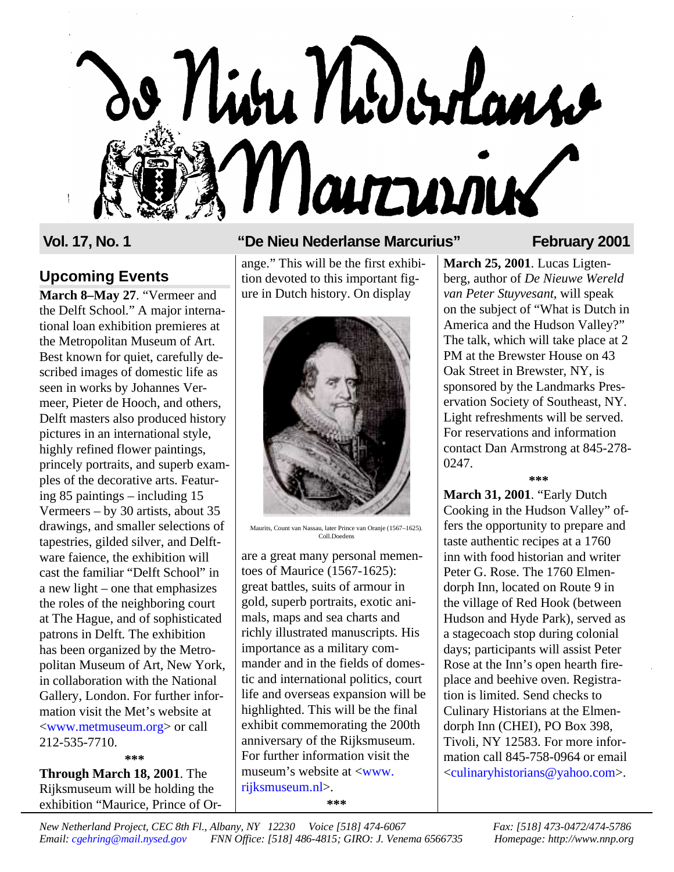# o Niva Nodorlans Marrinier

# **Upcoming Events**

**March 8–May 27**. "Vermeer and the Delft School." A major international loan exhibition premieres at the Metropolitan Museum of Art. Best known for quiet, carefully described images of domestic life as seen in works by Johannes Vermeer, Pieter de Hooch, and others, Delft masters also produced history pictures in an international style, highly refined flower paintings, princely portraits, and superb examples of the decorative arts. Featuring 85 paintings – including 15 Vermeers – by 30 artists, about 35 drawings, and smaller selections of tapestries, gilded silver, and Delftware faience, the exhibition will cast the familiar "Delft School" in a new light – one that emphasizes the roles of the neighboring court at The Hague, and of sophisticated patrons in Delft. The exhibition has been organized by the Metropolitan Museum of Art, New York, in collaboration with the National Gallery, London. For further information visit the Met's website at [<www.metmuseum.org>](http://www.metmuseum.org) or call 212-535-7710. **\*\*\***

**Through March 18, 2001**. The Rijksmuseum will be holding the exhibition "Maurice, Prince of Or-

## **Vol. 17, No. 1 "De Nieu Nederlanse Marcurius" February 2001**

ange." This will be the first exhibition devoted to this important figure in Dutch history. On display



Maurits, Count van Nassau, later Prince van Oranje (1567–1625). Coll.Doedens

are a great many personal mementoes of Maurice (1567-1625): great battles, suits of armour in gold, superb portraits, exotic animals, maps and sea charts and richly illustrated manuscripts. His importance as a military commander and in the fields of domestic and international politics, court life and overseas expansion will be highlighted. This will be the final exhibit commemorating the 200th anniversary of the Rijksmuseum. For further information visit the museum's website at [<www.](http://www.rijksmuseum.nl) [rijksmuseum.nl>.](http://www.rijksmuseum.nl)

**\*\*\***

**March 25, 2001**. Lucas Ligtenberg, author of *De Nieuwe Wereld van Peter Stuyvesant*, will speak on the subject of "What is Dutch in America and the Hudson Valley?" The talk, which will take place at 2 PM at the Brewster House on 43 Oak Street in Brewster, NY, is sponsored by the Landmarks Preservation Society of Southeast, NY. Light refreshments will be served. For reservations and information contact Dan Armstrong at 845-278- 0247.

### **\*\*\***

**March 31, 2001**. "Early Dutch Cooking in the Hudson Valley" offers the opportunity to prepare and taste authentic recipes at a 1760 inn with food historian and writer Peter G. Rose. The 1760 Elmendorph Inn, located on Route 9 in the village of Red Hook (between Hudson and Hyde Park), served as a stagecoach stop during colonial days; participants will assist Peter Rose at the Inn's open hearth fireplace and beehive oven. Registration is limited. Send checks to Culinary Historians at the Elmendorph Inn (CHEI), PO Box 398, Tivoli, NY 12583. For more information call 845-758-0964 or email [<culinaryhistorians@yahoo.com>](mailto:culinaryhistorians@yahoo.com).

*New Netherland Project, CEC 8th Fl., Albany, NY 12230 Voice [518] 474-6067 Fax: [518] 473-0472/474-5786 Email: [cgehring@mail.nysed.gov](mailto:cgehring@mail.nysed.org) FNN Office: [518] 486-4815; GIRO: J. Venema 6566735 Homepage: http://www.nnp.org*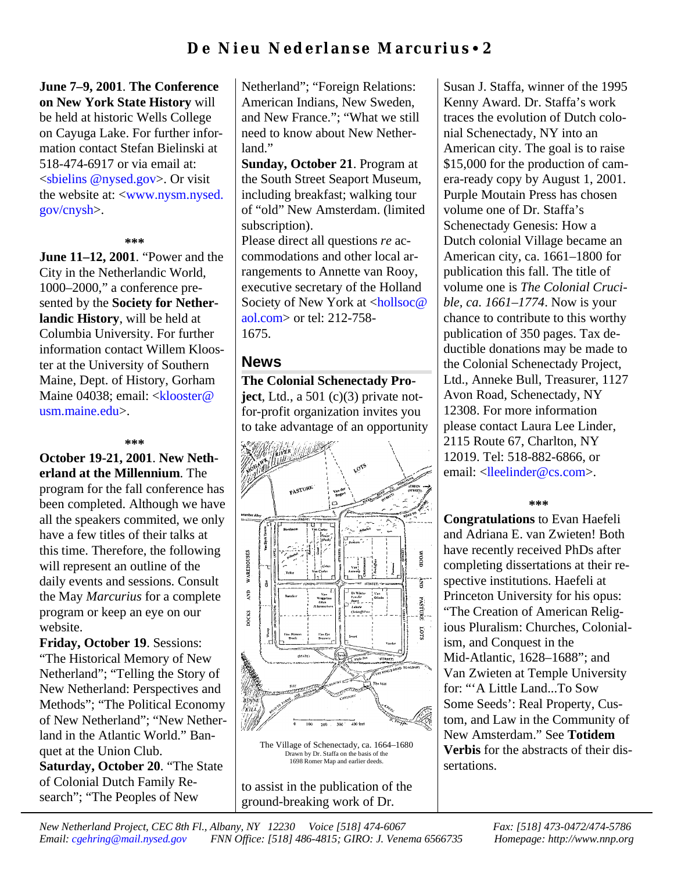# **De Nieu Nederlanse Marcurius** • **2**

**June 7–9, 2001**. **The Conference on New York State History** will be held at historic Wells College on Cayuga Lake. For further information contact Stefan Bielinski at 518-474-6917 or via email at: <sbielins [@nysed.gov>](mailto:sbielins@nysed.gov). Or visit the website at: [<www.nysm.nysed.](htp://www.nysm.nysed.gov/cnysh) [gov/cnysh>.](htp://www.nysm.nysed.gov/cnysh)

### **\*\*\***

**June 11–12, 2001**. "Power and the City in the Netherlandic World, 1000–2000," a conference presented by the **Society for Netherlandic History**, will be held at Columbia University. For further information contact Willem Klooster at the University of Southern Maine, Dept. of History, Gorham Maine 04038; email: <**klooster@** [usm.maine.edu>](mailto:klooster@usm.maine.edu).

### **\*\*\***

**October 19-21, 2001**. **New Netherland at the Millennium**. The program for the fall conference has been completed. Although we have all the speakers commited, we only have a few titles of their talks at this time. Therefore, the following will represent an outline of the daily events and sessions. Consult the May *Marcurius* for a complete program or keep an eye on our website.

**Friday, October 19**. Sessions: "The Historical Memory of New Netherland"; "Telling the Story of New Netherland: Perspectives and Methods"; "The Political Economy of New Netherland"; "New Netherland in the Atlantic World." Banquet at the Union Club. **Saturday, October 20**. "The State of Colonial Dutch Family Research"; "The Peoples of New

Netherland"; "Foreign Relations: American Indians, New Sweden, and New France."; "What we still need to know about New Netherland."

**Sunday, October 21**. Program at the South Street Seaport Museum, including breakfast; walking tour of "old" New Amsterdam. (limited subscription).

Please direct all questions *re* accommodations and other local arrangements to Annette van Rooy, executive secretary of the Holland Society of New York at [<hollsoc@](mailto:hollsoc@aol.com) [aol.com>](mailto:hollsoc@aol.com) or tel: 212-758- 1675.

### **News**

**The Colonial Schenectady Project**, Ltd., a 501 (c)(3) private notfor-profit organization invites you to take advantage of an opportunity



The Village of Schenectady, ca. 1664–1680 Drawn by Dr. Staffa on the basis of the 1698 Romer Map and earlier deeds.

to assist in the publication of the ground-breaking work of Dr.

Susan J. Staffa, winner of the 1995 Kenny Award. Dr. Staffa's work traces the evolution of Dutch colonial Schenectady, NY into an American city. The goal is to raise \$15,000 for the production of camera-ready copy by August 1, 2001. Purple Moutain Press has chosen volume one of Dr. Staffa's Schenectady Genesis: How a Dutch colonial Village became an American city, ca. 1661–1800 for publication this fall. The title of volume one is *The Colonial Crucible, ca. 1661–1774*. Now is your chance to contribute to this worthy publication of 350 pages. Tax deductible donations may be made to the Colonial Schenectady Project, Ltd., Anneke Bull, Treasurer, 1127 Avon Road, Schenectady, NY 12308. For more information please contact Laura Lee Linder, 2115 Route 67, Charlton, NY 12019. Tel: 518-882-6866, or email: [<lleelinder@cs.com>](mailto:llinder@cs.com).

**\*\*\***

**Congratulations** to Evan Haefeli and Adriana E. van Zwieten! Both have recently received PhDs after completing dissertations at their respective institutions. Haefeli at Princeton University for his opus: "The Creation of American Religious Pluralism: Churches, Colonialism, and Conquest in the Mid-Atlantic, 1628–1688"; and Van Zwieten at Temple University for: "'A Little Land...To Sow Some Seeds': Real Property, Custom, and Law in the Community of New Amsterdam." See **Totidem Verbis** for the abstracts of their dissertations.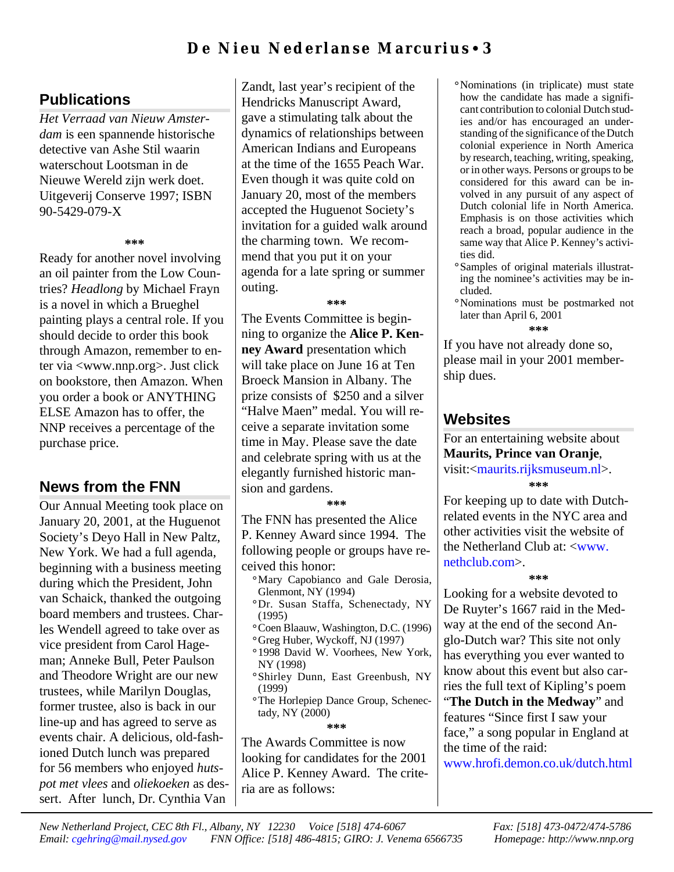# **De Nieu Nederlanse Marcurius** • **3**

# **Publications**

*Het Verraad van Nieuw Amsterdam* is een spannende historische detective van Ashe Stil waarin waterschout Lootsman in de Nieuwe Wereld zijn werk doet. Uitgeverij Conserve 1997; ISBN 90-5429-079-X

### **\*\*\***

Ready for another novel involving an oil painter from the Low Countries? *Headlong* by Michael Frayn is a novel in which a Brueghel painting plays a central role. If you should decide to order this book through Amazon, remember to enter via <www.nnp.org>. Just click on bookstore, then Amazon. When you order a book or ANYTHING ELSE Amazon has to offer, the NNP receives a percentage of the purchase price.

# **News from the FNN**

Our Annual Meeting took place on January 20, 2001, at the Huguenot Society's Deyo Hall in New Paltz, New York. We had a full agenda, beginning with a business meeting during which the President, John van Schaick, thanked the outgoing board members and trustees. Charles Wendell agreed to take over as vice president from Carol Hageman; Anneke Bull, Peter Paulson and Theodore Wright are our new trustees, while Marilyn Douglas, former trustee, also is back in our line-up and has agreed to serve as events chair. A delicious, old-fashioned Dutch lunch was prepared for 56 members who enjoyed *hutspot met vlees* and *oliekoeken* as dessert. After lunch, Dr. Cynthia Van Zandt, last year's recipient of the Hendricks Manuscript Award, gave a stimulating talk about the dynamics of relationships between American Indians and Europeans at the time of the 1655 Peach War. Even though it was quite cold on January 20, most of the members accepted the Huguenot Society's invitation for a guided walk around the charming town. We recommend that you put it on your agenda for a late spring or summer outing.

**\*\*\***

The Events Committee is beginning to organize the **Alice P. Kenney Award** presentation which will take place on June 16 at Ten Broeck Mansion in Albany. The prize consists of \$250 and a silver "Halve Maen" medal. You will receive a separate invitation some time in May. Please save the date and celebrate spring with us at the elegantly furnished historic mansion and gardens.

**\*\*\***

The FNN has presented the Alice P. Kenney Award since 1994. The following people or groups have received this honor:

**°**Mary Capobianco and Gale Derosia, Glenmont, NY (1994)

- **°**Dr. Susan Staffa, Schenectady, NY (1995)
- **°**Coen Blaauw, Washington, D.C. (1996)
- **°**Greg Huber, Wyckoff, NJ (1997)
- **°**1998 David W. Voorhees, New York, NY (1998)
- **°**Shirley Dunn, East Greenbush, NY (1999)
- **°**The Horlepiep Dance Group, Schenectady, NY (2000)

**\*\*\***

The Awards Committee is now looking for candidates for the 2001 Alice P. Kenney Award. The criteria are as follows:

**°**Nominations (in triplicate) must state how the candidate has made a significant contribution to colonial Dutch studies and/or has encouraged an understanding of the significance of the Dutch colonial experience in North America by research, teaching, writing, speaking, or in other ways. Persons or groups to be considered for this award can be involved in any pursuit of any aspect of Dutch colonial life in North America. Emphasis is on those activities which reach a broad, popular audience in the same way that Alice P. Kenney's activities did.

- **°**Samples of original materials illustrating the nominee's activities may be included.
- **°**Nominations must be postmarked not later than April 6, 2001 **\*\*\***

If you have not already done so, please mail in your 2001 membership dues.

# **Websites**

For an entertaining website about **Maurits, Prince van Oranje**, visit:[<maurits.rijksmuseum.nl>](http://maurits.rijksmuseum.nl). **\*\*\***

For keeping up to date with Dutchrelated events in the NYC area and other activities visit the website of the Netherland Club at: [<www.](http://www.nethclub.com) [nethclub.com>.](http://www.nethclub.com)

**\*\*\***

Looking for a website devoted to De Ruyter's 1667 raid in the Medway at the end of the second Anglo-Dutch war? This site not only has everything you ever wanted to know about this event but also carries the full text of Kipling's poem "**The Dutch in the Medway**" and features "Since first I saw your face," a song popular in England at the time of the raid:

[www.hrofi.demon.co.uk/dutch.html](http://www.hrofi.demon.co.uk/dutch.html)

*New Netherland Project, CEC 8th Fl., Albany, NY 12230 Voice [518] 474-6067 Fax: [518] 473-0472/474-5786 Email: [cgehring@mail.nysed.gov](mailto:cgehring@mail.nysed.org) FNN Office: [518] 486-4815; GIRO: J. Venema 6566735 Homepage: http://www.nnp.org*